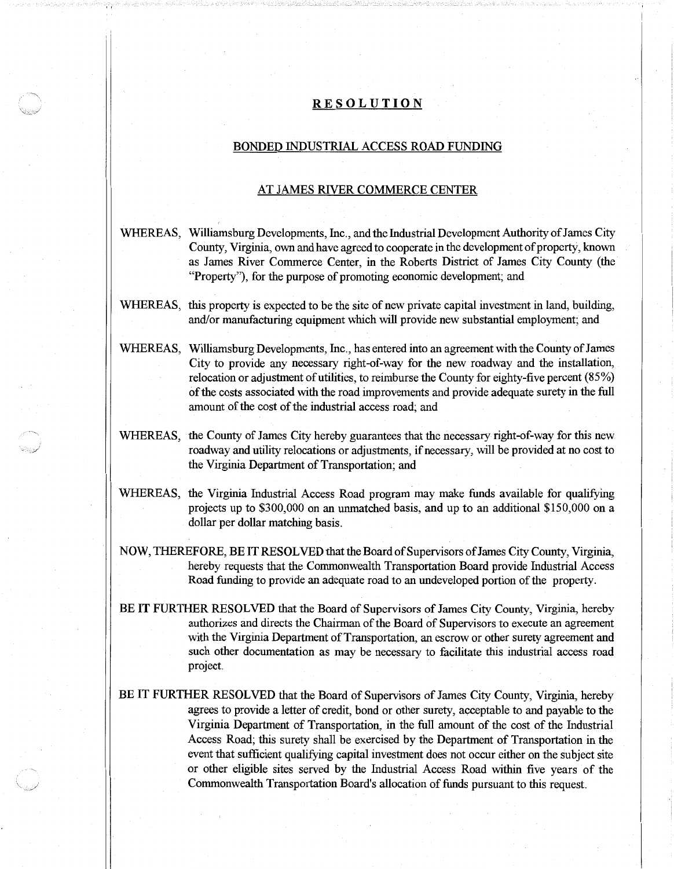## **RESOLUTION**

## BONDED INDUSTRIAL ACCESS ROAD FUNDING

## AT JAMES RIVER COMMERCE CENTER

- WHEREAS, Williamsburg Developments, Inc., and the Industrial Development Authority of James City County, Virginia, own and have agreed to cooperate in the development of property, known as James River Commerce Center, in the Roberts District of James City County (the "Property"), for the purpose of promoting economic development; and
- WHEREAS, this property is expected to be the site of new private capital investment in land, building, and/or manufacturing equipment which will provide new substantial employment; and
- WHEREAS, Williamsburg Developments, Inc., has entered into an agreement with the County of James City to provide any necessary right-of-way for the new roadway and the installation, relocation or adjustment of utilities, to reimburse the County for eighty-five percent (85%) of the costs associated with the road improvements and provide adequate surety in the full amount of the cost of the industrial access road; and
- WHEREAS, the County of James City hereby guarantees that the necessary right-of-way for this new roadway and utility relocations or adjustments, if necessary, will be provided at no cost to the Virginia Department of Transportation; and
- WHEREAS, the Virginia Industrial Access Road program may make funds available for qualifying projects up to \$300,000 on an unmatched basis, and up to an additional \$150,000 on a dollar per dollar matching basis.
- NOW, THEREFORE, BE IT RESOLVED that the Board of Supervisors ofJames City County, Virginia, hereby requests that the Commonwealth Transportation Board provide Industrial Access Road funding to provide an adequate road to an undeveloped portion of the property.
- BE IT FURTHER RESOLVED that the Board of Supervisors of James City County, Virginia, hereby authorizes and directs the Chairman of the Board of Supervisors to execute an agreement with the Virginia Department of Transportation, an escrow or other surety agreement and such other documentation as may be necessary to facilitate this industrial access road project.
- BE IT FURTHER RESOLVED that the Board of Supervisors of James City County, Virginia, hereby agrees to provide a letter of credit, bond or other surety, acceptable to and payable to the Virginia Department of Transportation, in the full amount of the cost of the Industrial Access Road; this surety shall be exercised by the Department of Transportation in the event that sufficient qualifying capital investment does not occur either on the subject site or other eligible sites served by the Industrial Access Road within five years of the Commonwealth Transportation Board's allocation of funds pursuant to this request.